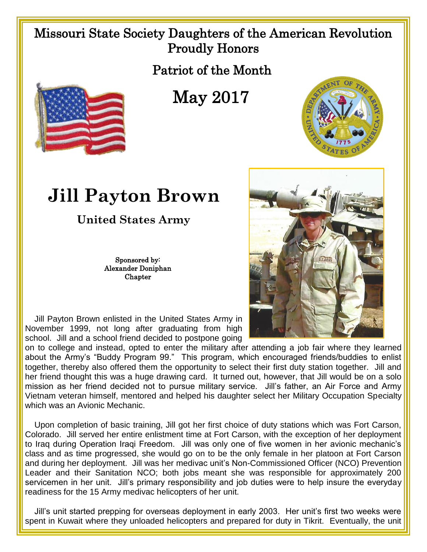## Missouri State Society Daughters of the American Revolution Proudly Honors

Patriot of the Month



May 2017



## **Jill Payton Brown**

**United States Army**

Sponsored by: Alexander Doniphan **Chapter** 

 Jill Payton Brown enlisted in the United States Army in November 1999, not long after graduating from high school. Jill and a school friend decided to postpone going

on to college and instead, opted to enter the military after attending a job fair where they learned about the Army's "Buddy Program 99." This program, which encouraged friends/buddies to enlist together, thereby also offered them the opportunity to select their first duty station together. Jill and her friend thought this was a huge drawing card. It turned out, however, that Jill would be on a solo mission as her friend decided not to pursue military service. Jill's father, an Air Force and Army Vietnam veteran himself, mentored and helped his daughter select her Military Occupation Specialty which was an Avionic Mechanic.

 Upon completion of basic training, Jill got her first choice of duty stations which was Fort Carson, Colorado. Jill served her entire enlistment time at Fort Carson, with the exception of her deployment to Iraq during Operation Iraqi Freedom. Jill was only one of five women in her avionic mechanic's class and as time progressed, she would go on to be the only female in her platoon at Fort Carson and during her deployment. Jill was her medivac unit's Non-Commissioned Officer (NCO) Prevention Leader and their Sanitation NCO; both jobs meant she was responsible for approximately 200 servicemen in her unit. Jill's primary responsibility and job duties were to help insure the everyday readiness for the 15 Army medivac helicopters of her unit.

 Jill's unit started prepping for overseas deployment in early 2003. Her unit's first two weeks were spent in Kuwait where they unloaded helicopters and prepared for duty in Tikrit. Eventually, the unit